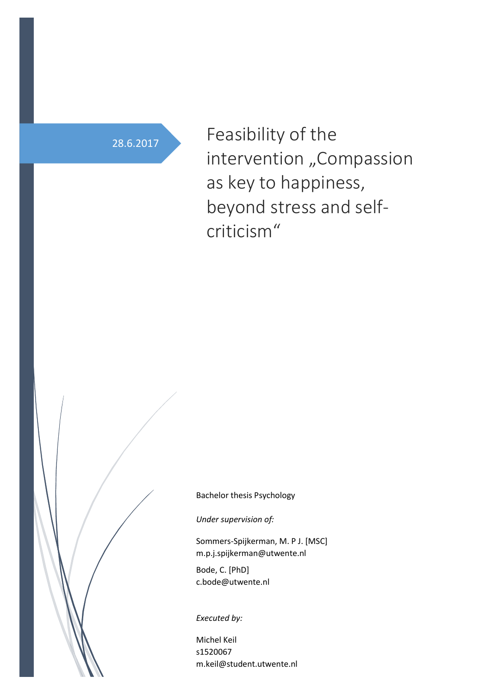28.6.2017 Feasibility of the intervention "Compassion as key to happiness, beyond stress and selfcriticism"

Bachelor thesis Psychology

*Under supervision of:*

Sommers-Spijkerman, M. P J. [MSC] m.p.j.spijkerman@utwente.nl

Bode, C. [PhD] c.bode@utwente.nl

*Executed by:*

Michel Keil s1520067 m.keil@student.utwente.nl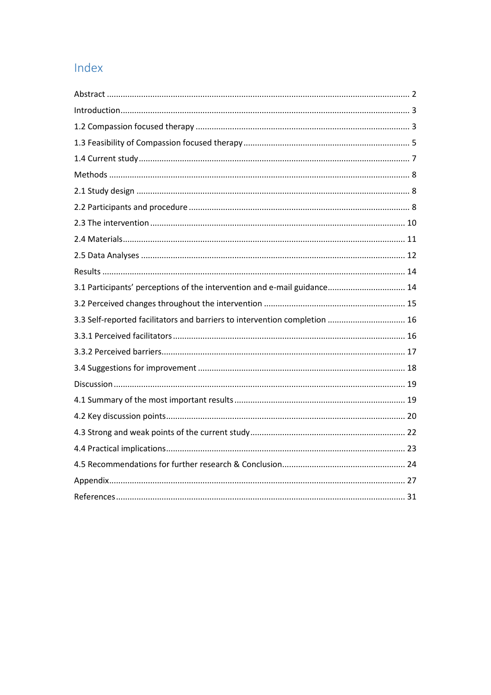# Index

| 3.1 Participants' perceptions of the intervention and e-mail guidance 14   |
|----------------------------------------------------------------------------|
|                                                                            |
| 3.3 Self-reported facilitators and barriers to intervention completion  16 |
|                                                                            |
|                                                                            |
|                                                                            |
|                                                                            |
|                                                                            |
|                                                                            |
|                                                                            |
|                                                                            |
|                                                                            |
|                                                                            |
|                                                                            |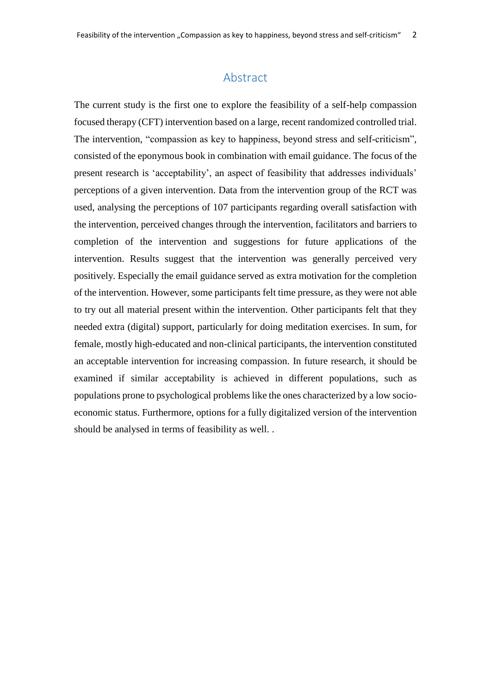# Abstract

<span id="page-2-0"></span>The current study is the first one to explore the feasibility of a self-help compassion focused therapy (CFT) intervention based on a large, recent randomized controlled trial. The intervention, "compassion as key to happiness, beyond stress and self-criticism", consisted of the eponymous book in combination with email guidance. The focus of the present research is 'acceptability', an aspect of feasibility that addresses individuals' perceptions of a given intervention. Data from the intervention group of the RCT was used, analysing the perceptions of 107 participants regarding overall satisfaction with the intervention, perceived changes through the intervention, facilitators and barriers to completion of the intervention and suggestions for future applications of the intervention. Results suggest that the intervention was generally perceived very positively. Especially the email guidance served as extra motivation for the completion of the intervention. However, some participants felt time pressure, as they were not able to try out all material present within the intervention. Other participants felt that they needed extra (digital) support, particularly for doing meditation exercises. In sum, for female, mostly high-educated and non-clinical participants, the intervention constituted an acceptable intervention for increasing compassion. In future research, it should be examined if similar acceptability is achieved in different populations, such as populations prone to psychological problems like the ones characterized by a low socioeconomic status. Furthermore, options for a fully digitalized version of the intervention should be analysed in terms of feasibility as well. .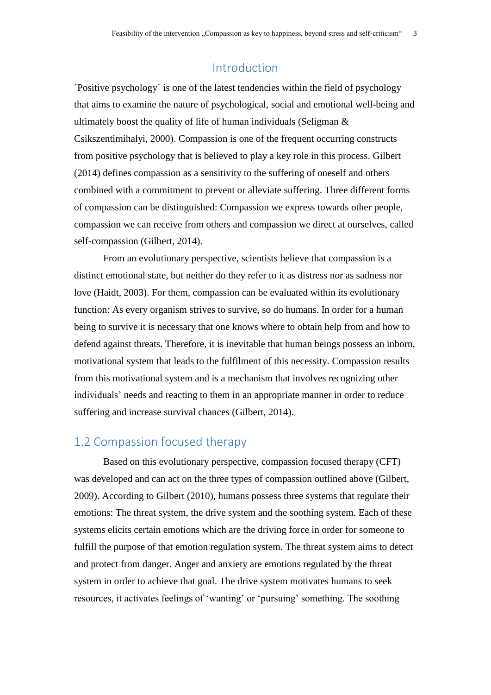## Introduction

<span id="page-3-0"></span>´Positive psychology´ is one of the latest tendencies within the field of psychology that aims to examine the nature of psychological, social and emotional well-being and ultimately boost the quality of life of human individuals (Seligman & Csikszentimihalyi, 2000). Compassion is one of the frequent occurring constructs from positive psychology that is believed to play a key role in this process. Gilbert (2014) defines compassion as a sensitivity to the suffering of oneself and others combined with a commitment to prevent or alleviate suffering. Three different forms of compassion can be distinguished: Compassion we express towards other people, compassion we can receive from others and compassion we direct at ourselves, called self-compassion (Gilbert, 2014).

From an evolutionary perspective, scientists believe that compassion is a distinct emotional state, but neither do they refer to it as distress nor as sadness nor love (Haidt, 2003). For them, compassion can be evaluated within its evolutionary function: As every organism strives to survive, so do humans. In order for a human being to survive it is necessary that one knows where to obtain help from and how to defend against threats. Therefore, it is inevitable that human beings possess an inborn, motivational system that leads to the fulfilment of this necessity. Compassion results from this motivational system and is a mechanism that involves recognizing other individuals' needs and reacting to them in an appropriate manner in order to reduce suffering and increase survival chances (Gilbert, 2014).

# <span id="page-3-1"></span>1.2 Compassion focused therapy

Based on this evolutionary perspective, compassion focused therapy (CFT) was developed and can act on the three types of compassion outlined above (Gilbert, 2009). According to Gilbert (2010), humans possess three systems that regulate their emotions: The threat system, the drive system and the soothing system. Each of these systems elicits certain emotions which are the driving force in order for someone to fulfill the purpose of that emotion regulation system. The threat system aims to detect and protect from danger. Anger and anxiety are emotions regulated by the threat system in order to achieve that goal. The drive system motivates humans to seek resources, it activates feelings of 'wanting' or 'pursuing' something. The soothing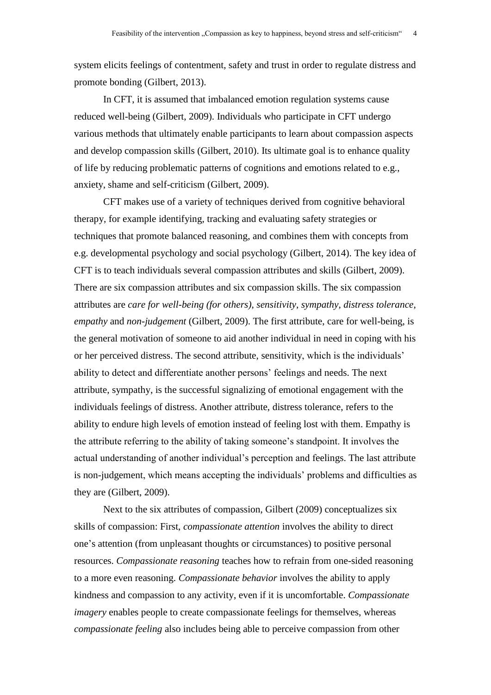system elicits feelings of contentment, safety and trust in order to regulate distress and promote bonding (Gilbert, 2013).

In CFT, it is assumed that imbalanced emotion regulation systems cause reduced well-being (Gilbert, 2009). Individuals who participate in CFT undergo various methods that ultimately enable participants to learn about compassion aspects and develop compassion skills (Gilbert, 2010). Its ultimate goal is to enhance quality of life by reducing problematic patterns of cognitions and emotions related to e.g., anxiety, shame and self-criticism (Gilbert, 2009).

CFT makes use of a variety of techniques derived from cognitive behavioral therapy, for example identifying, tracking and evaluating safety strategies or techniques that promote balanced reasoning, and combines them with concepts from e.g. developmental psychology and social psychology (Gilbert, 2014). The key idea of CFT is to teach individuals several compassion attributes and skills (Gilbert, 2009). There are six compassion attributes and six compassion skills. The six compassion attributes are *care for well-being (for others)*, *sensitivity*, *sympathy*, *distress tolerance*, *empathy* and *non-judgement* (Gilbert, 2009). The first attribute, care for well-being, is the general motivation of someone to aid another individual in need in coping with his or her perceived distress. The second attribute, sensitivity, which is the individuals' ability to detect and differentiate another persons' feelings and needs. The next attribute, sympathy, is the successful signalizing of emotional engagement with the individuals feelings of distress. Another attribute, distress tolerance, refers to the ability to endure high levels of emotion instead of feeling lost with them. Empathy is the attribute referring to the ability of taking someone's standpoint. It involves the actual understanding of another individual's perception and feelings. The last attribute is non-judgement, which means accepting the individuals' problems and difficulties as they are (Gilbert, 2009).

Next to the six attributes of compassion, Gilbert (2009) conceptualizes six skills of compassion: First, *compassionate attention* involves the ability to direct one's attention (from unpleasant thoughts or circumstances) to positive personal resources. *Compassionate reasoning* teaches how to refrain from one-sided reasoning to a more even reasoning. *Compassionate behavior* involves the ability to apply kindness and compassion to any activity, even if it is uncomfortable. *Compassionate imagery* enables people to create compassionate feelings for themselves, whereas *compassionate feeling* also includes being able to perceive compassion from other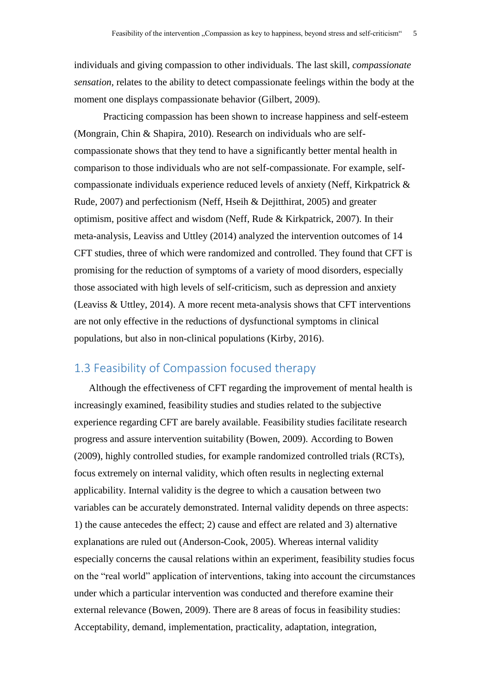individuals and giving compassion to other individuals. The last skill, *compassionate sensation*, relates to the ability to detect compassionate feelings within the body at the moment one displays compassionate behavior (Gilbert, 2009).

Practicing compassion has been shown to increase happiness and self-esteem (Mongrain, Chin & Shapira, 2010). Research on individuals who are selfcompassionate shows that they tend to have a significantly better mental health in comparison to those individuals who are not self-compassionate. For example, selfcompassionate individuals experience reduced levels of anxiety (Neff, Kirkpatrick & Rude, 2007) and perfectionism (Neff, Hseih & Dejitthirat, 2005) and greater optimism, positive affect and wisdom (Neff, Rude & Kirkpatrick, 2007). In their meta-analysis, Leaviss and Uttley (2014) analyzed the intervention outcomes of 14 CFT studies, three of which were randomized and controlled. They found that CFT is promising for the reduction of symptoms of a variety of mood disorders, especially those associated with high levels of self-criticism, such as depression and anxiety (Leaviss & Uttley, 2014). A more recent meta-analysis shows that CFT interventions are not only effective in the reductions of dysfunctional symptoms in clinical populations, but also in non-clinical populations (Kirby, 2016).

# <span id="page-5-0"></span>1.3 Feasibility of Compassion focused therapy

Although the effectiveness of CFT regarding the improvement of mental health is increasingly examined, feasibility studies and studies related to the subjective experience regarding CFT are barely available. Feasibility studies facilitate research progress and assure intervention suitability (Bowen, 2009). According to Bowen (2009), highly controlled studies, for example randomized controlled trials (RCTs), focus extremely on internal validity, which often results in neglecting external applicability. Internal validity is the degree to which a causation between two variables can be accurately demonstrated. Internal validity depends on three aspects: 1) the cause antecedes the effect; 2) cause and effect are related and 3) alternative explanations are ruled out (Anderson-Cook, 2005). Whereas internal validity especially concerns the causal relations within an experiment, feasibility studies focus on the "real world" application of interventions, taking into account the circumstances under which a particular intervention was conducted and therefore examine their external relevance (Bowen, 2009). There are 8 areas of focus in feasibility studies: Acceptability, demand, implementation, practicality, adaptation, integration,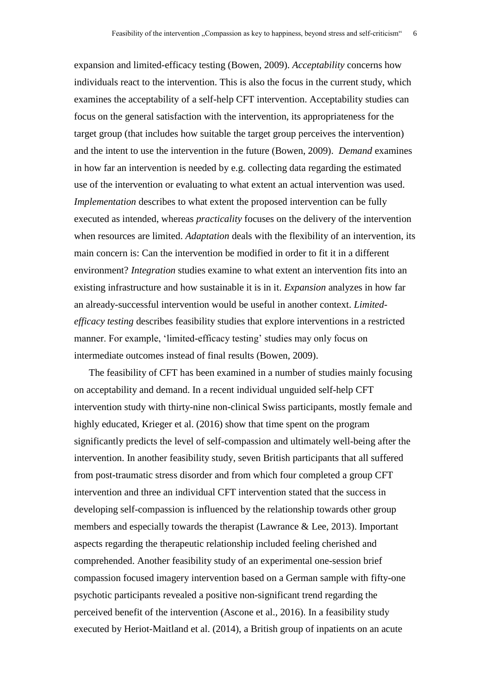expansion and limited-efficacy testing (Bowen, 2009). *Acceptability* concerns how individuals react to the intervention. This is also the focus in the current study, which examines the acceptability of a self-help CFT intervention. Acceptability studies can focus on the general satisfaction with the intervention, its appropriateness for the target group (that includes how suitable the target group perceives the intervention) and the intent to use the intervention in the future (Bowen, 2009). *Demand* examines in how far an intervention is needed by e.g. collecting data regarding the estimated use of the intervention or evaluating to what extent an actual intervention was used. *Implementation* describes to what extent the proposed intervention can be fully executed as intended, whereas *practicality* focuses on the delivery of the intervention when resources are limited. *Adaptation* deals with the flexibility of an intervention, its main concern is: Can the intervention be modified in order to fit it in a different environment? *Integration* studies examine to what extent an intervention fits into an existing infrastructure and how sustainable it is in it. *Expansion* analyzes in how far an already-successful intervention would be useful in another context. *Limitedefficacy testing* describes feasibility studies that explore interventions in a restricted manner. For example, 'limited-efficacy testing' studies may only focus on intermediate outcomes instead of final results (Bowen, 2009).

The feasibility of CFT has been examined in a number of studies mainly focusing on acceptability and demand. In a recent individual unguided self-help CFT intervention study with thirty-nine non-clinical Swiss participants, mostly female and highly educated, Krieger et al. (2016) show that time spent on the program significantly predicts the level of self-compassion and ultimately well-being after the intervention. In another feasibility study, seven British participants that all suffered from post-traumatic stress disorder and from which four completed a group CFT intervention and three an individual CFT intervention stated that the success in developing self-compassion is influenced by the relationship towards other group members and especially towards the therapist (Lawrance & Lee, 2013). Important aspects regarding the therapeutic relationship included feeling cherished and comprehended. Another feasibility study of an experimental one-session brief compassion focused imagery intervention based on a German sample with fifty-one psychotic participants revealed a positive non-significant trend regarding the perceived benefit of the intervention (Ascone et al., 2016). In a feasibility study executed by Heriot-Maitland et al. (2014), a British group of inpatients on an acute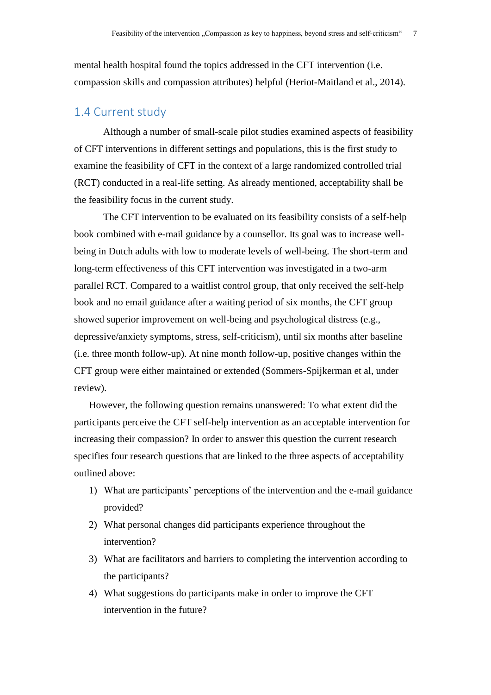mental health hospital found the topics addressed in the CFT intervention (i.e. compassion skills and compassion attributes) helpful (Heriot-Maitland et al., 2014).

# <span id="page-7-0"></span>1.4 Current study

Although a number of small-scale pilot studies examined aspects of feasibility of CFT interventions in different settings and populations, this is the first study to examine the feasibility of CFT in the context of a large randomized controlled trial (RCT) conducted in a real-life setting. As already mentioned, acceptability shall be the feasibility focus in the current study.

The CFT intervention to be evaluated on its feasibility consists of a self-help book combined with e-mail guidance by a counsellor. Its goal was to increase wellbeing in Dutch adults with low to moderate levels of well-being. The short-term and long-term effectiveness of this CFT intervention was investigated in a two-arm parallel RCT. Compared to a waitlist control group, that only received the self-help book and no email guidance after a waiting period of six months, the CFT group showed superior improvement on well-being and psychological distress (e.g., depressive/anxiety symptoms, stress, self-criticism), until six months after baseline (i.e. three month follow-up). At nine month follow-up, positive changes within the CFT group were either maintained or extended (Sommers-Spijkerman et al, under review).

However, the following question remains unanswered: To what extent did the participants perceive the CFT self-help intervention as an acceptable intervention for increasing their compassion? In order to answer this question the current research specifies four research questions that are linked to the three aspects of acceptability outlined above:

- 1) What are participants' perceptions of the intervention and the e-mail guidance provided?
- 2) What personal changes did participants experience throughout the intervention?
- 3) What are facilitators and barriers to completing the intervention according to the participants?
- 4) What suggestions do participants make in order to improve the CFT intervention in the future?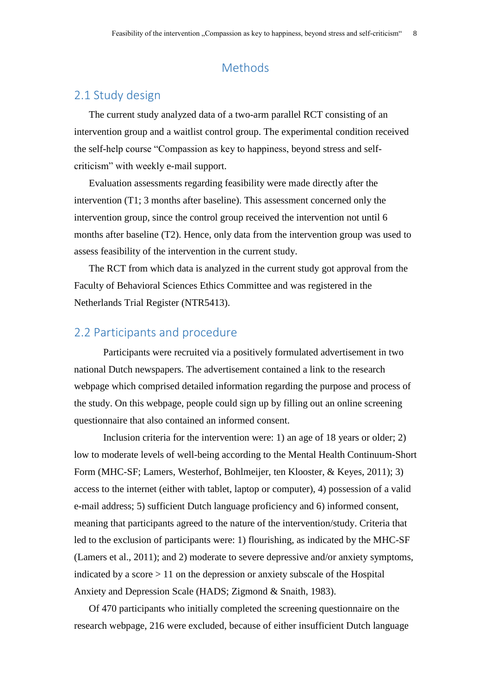# Methods

# <span id="page-8-1"></span><span id="page-8-0"></span>2.1 Study design

The current study analyzed data of a two-arm parallel RCT consisting of an intervention group and a waitlist control group. The experimental condition received the self-help course "Compassion as key to happiness, beyond stress and selfcriticism" with weekly e-mail support.

Evaluation assessments regarding feasibility were made directly after the intervention (T1; 3 months after baseline). This assessment concerned only the intervention group, since the control group received the intervention not until 6 months after baseline (T2). Hence, only data from the intervention group was used to assess feasibility of the intervention in the current study.

The RCT from which data is analyzed in the current study got approval from the Faculty of Behavioral Sciences Ethics Committee and was registered in the Netherlands Trial Register (NTR5413).

# <span id="page-8-2"></span>2.2 Participants and procedure

Participants were recruited via a positively formulated advertisement in two national Dutch newspapers. The advertisement contained a link to the research webpage which comprised detailed information regarding the purpose and process of the study. On this webpage, people could sign up by filling out an online screening questionnaire that also contained an informed consent.

Inclusion criteria for the intervention were: 1) an age of 18 years or older; 2) low to moderate levels of well-being according to the Mental Health Continuum-Short Form (MHC-SF; Lamers, Westerhof, Bohlmeijer, ten Klooster, & Keyes, 2011); 3) access to the internet (either with tablet, laptop or computer), 4) possession of a valid e-mail address; 5) sufficient Dutch language proficiency and 6) informed consent, meaning that participants agreed to the nature of the intervention/study. Criteria that led to the exclusion of participants were: 1) flourishing, as indicated by the MHC-SF (Lamers et al., 2011); and 2) moderate to severe depressive and/or anxiety symptoms, indicated by a score  $> 11$  on the depression or anxiety subscale of the Hospital Anxiety and Depression Scale (HADS; Zigmond & Snaith, 1983).

Of 470 participants who initially completed the screening questionnaire on the research webpage, 216 were excluded, because of either insufficient Dutch language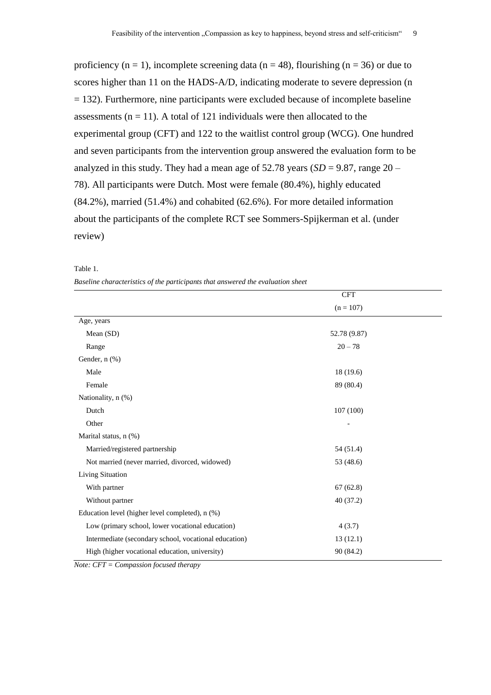proficiency ( $n = 1$ ), incomplete screening data ( $n = 48$ ), flourishing ( $n = 36$ ) or due to scores higher than 11 on the HADS-A/D, indicating moderate to severe depression (n  $= 132$ ). Furthermore, nine participants were excluded because of incomplete baseline assessments ( $n = 11$ ). A total of 121 individuals were then allocated to the experimental group (CFT) and 122 to the waitlist control group (WCG). One hundred and seven participants from the intervention group answered the evaluation form to be analyzed in this study. They had a mean age of  $52.78$  years (*SD* = 9.87, range 20 – 78). All participants were Dutch. Most were female (80.4%), highly educated (84.2%), married (51.4%) and cohabited (62.6%). For more detailed information about the participants of the complete RCT see Sommers-Spijkerman et al. (under review)

|                                                       | <b>CFT</b>   |  |  |
|-------------------------------------------------------|--------------|--|--|
|                                                       | $(n = 107)$  |  |  |
| Age, years                                            |              |  |  |
| Mean (SD)                                             | 52.78 (9.87) |  |  |
| Range                                                 | $20 - 78$    |  |  |
| Gender, n (%)                                         |              |  |  |
| Male                                                  | 18(19.6)     |  |  |
| Female                                                | 89 (80.4)    |  |  |
| Nationality, n (%)                                    |              |  |  |
| Dutch                                                 | 107(100)     |  |  |
| Other                                                 |              |  |  |
| Marital status, n (%)                                 |              |  |  |
| Married/registered partnership                        | 54 (51.4)    |  |  |
| Not married (never married, divorced, widowed)        | 53 (48.6)    |  |  |
| <b>Living Situation</b>                               |              |  |  |
| With partner                                          | 67(62.8)     |  |  |
| Without partner                                       | 40(37.2)     |  |  |
| Education level (higher level completed), n (%)       |              |  |  |
| Low (primary school, lower vocational education)      | 4(3.7)       |  |  |
| Intermediate (secondary school, vocational education) | 13(12.1)     |  |  |
| High (higher vocational education, university)        | 90 (84.2)    |  |  |

| -------- |                                                                                 |  |  |  |  |
|----------|---------------------------------------------------------------------------------|--|--|--|--|
|          | Baseline characteristics of the participants that answered the evaluation sheet |  |  |  |  |

Table 1.

*Note: CFT = Compassion focused therapy*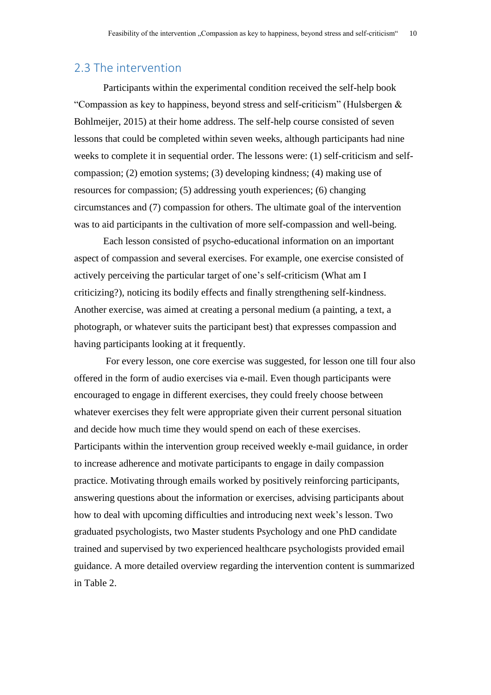## <span id="page-10-0"></span>2.3 The intervention

Participants within the experimental condition received the self-help book "Compassion as key to happiness, beyond stress and self-criticism" (Hulsbergen & Bohlmeijer, 2015) at their home address. The self-help course consisted of seven lessons that could be completed within seven weeks, although participants had nine weeks to complete it in sequential order. The lessons were: (1) self-criticism and selfcompassion; (2) emotion systems; (3) developing kindness; (4) making use of resources for compassion; (5) addressing youth experiences; (6) changing circumstances and (7) compassion for others. The ultimate goal of the intervention was to aid participants in the cultivation of more self-compassion and well-being.

Each lesson consisted of psycho-educational information on an important aspect of compassion and several exercises. For example, one exercise consisted of actively perceiving the particular target of one's self-criticism (What am I criticizing?), noticing its bodily effects and finally strengthening self-kindness. Another exercise, was aimed at creating a personal medium (a painting, a text, a photograph, or whatever suits the participant best) that expresses compassion and having participants looking at it frequently.

For every lesson, one core exercise was suggested, for lesson one till four also offered in the form of audio exercises via e-mail. Even though participants were encouraged to engage in different exercises, they could freely choose between whatever exercises they felt were appropriate given their current personal situation and decide how much time they would spend on each of these exercises. Participants within the intervention group received weekly e-mail guidance, in order to increase adherence and motivate participants to engage in daily compassion practice. Motivating through emails worked by positively reinforcing participants, answering questions about the information or exercises, advising participants about how to deal with upcoming difficulties and introducing next week's lesson. Two graduated psychologists, two Master students Psychology and one PhD candidate trained and supervised by two experienced healthcare psychologists provided email guidance. A more detailed overview regarding the intervention content is summarized in Table 2.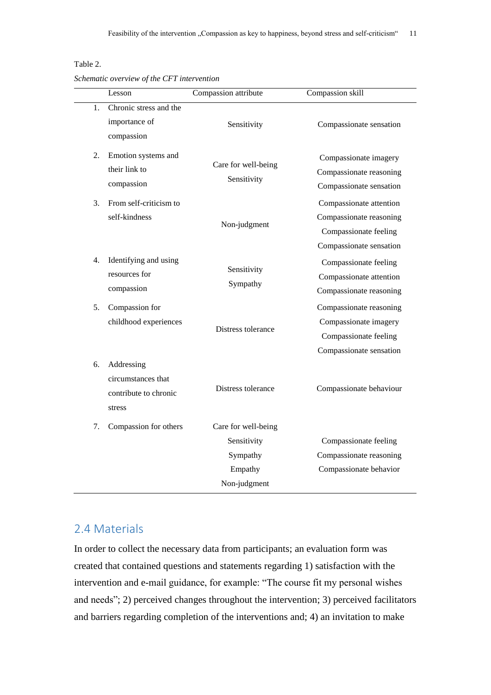#### Table 2.

*Schematic overview of the CFT intervention*

|    | Lesson                                                              | Compassion attribute                                                      | Compassion skill                                                                                       |
|----|---------------------------------------------------------------------|---------------------------------------------------------------------------|--------------------------------------------------------------------------------------------------------|
| 1. | Chronic stress and the<br>importance of<br>compassion               | Sensitivity                                                               | Compassionate sensation                                                                                |
| 2. | Emotion systems and<br>their link to<br>compassion                  | Care for well-being<br>Sensitivity                                        | Compassionate imagery<br>Compassionate reasoning<br>Compassionate sensation                            |
| 3. | From self-criticism to<br>self-kindness                             | Non-judgment                                                              | Compassionate attention<br>Compassionate reasoning<br>Compassionate feeling<br>Compassionate sensation |
| 4. | Identifying and using<br>resources for<br>compassion                | Sensitivity<br>Sympathy                                                   | Compassionate feeling<br>Compassionate attention<br>Compassionate reasoning                            |
| 5. | Compassion for<br>childhood experiences                             | Distress tolerance                                                        | Compassionate reasoning<br>Compassionate imagery<br>Compassionate feeling<br>Compassionate sensation   |
| 6. | Addressing<br>circumstances that<br>contribute to chronic<br>stress | Distress tolerance                                                        | Compassionate behaviour                                                                                |
| 7. | Compassion for others                                               | Care for well-being<br>Sensitivity<br>Sympathy<br>Empathy<br>Non-judgment | Compassionate feeling<br>Compassionate reasoning<br>Compassionate behavior                             |

# <span id="page-11-0"></span>2.4 Materials

In order to collect the necessary data from participants; an evaluation form was created that contained questions and statements regarding 1) satisfaction with the intervention and e-mail guidance, for example: "The course fit my personal wishes and needs"; 2) perceived changes throughout the intervention; 3) perceived facilitators and barriers regarding completion of the interventions and; 4) an invitation to make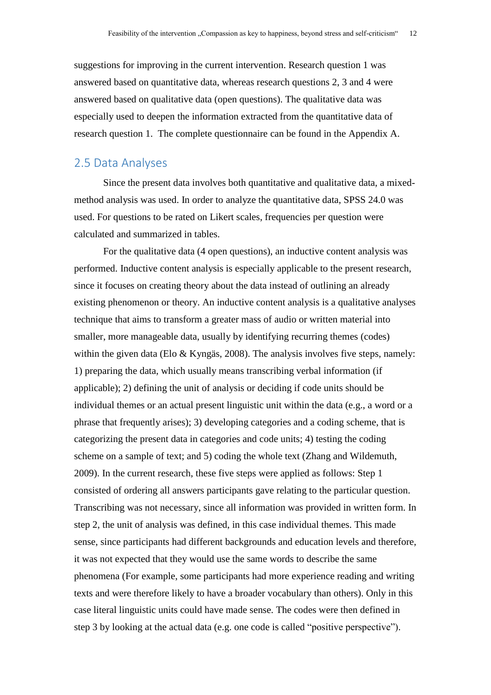suggestions for improving in the current intervention. Research question 1 was answered based on quantitative data, whereas research questions 2, 3 and 4 were answered based on qualitative data (open questions). The qualitative data was especially used to deepen the information extracted from the quantitative data of research question 1. The complete questionnaire can be found in the Appendix A.

# <span id="page-12-0"></span>2.5 Data Analyses

Since the present data involves both quantitative and qualitative data, a mixedmethod analysis was used. In order to analyze the quantitative data, SPSS 24.0 was used. For questions to be rated on Likert scales, frequencies per question were calculated and summarized in tables.

For the qualitative data (4 open questions), an inductive content analysis was performed. Inductive content analysis is especially applicable to the present research, since it focuses on creating theory about the data instead of outlining an already existing phenomenon or theory. An inductive content analysis is a qualitative analyses technique that aims to transform a greater mass of audio or written material into smaller, more manageable data, usually by identifying recurring themes (codes) within the given data (Elo & Kyngäs, 2008). The analysis involves five steps, namely: 1) preparing the data, which usually means transcribing verbal information (if applicable); 2) defining the unit of analysis or deciding if code units should be individual themes or an actual present linguistic unit within the data (e.g., a word or a phrase that frequently arises); 3) developing categories and a coding scheme, that is categorizing the present data in categories and code units; 4) testing the coding scheme on a sample of text; and 5) coding the whole text (Zhang and Wildemuth, 2009). In the current research, these five steps were applied as follows: Step 1 consisted of ordering all answers participants gave relating to the particular question. Transcribing was not necessary, since all information was provided in written form. In step 2, the unit of analysis was defined, in this case individual themes. This made sense, since participants had different backgrounds and education levels and therefore, it was not expected that they would use the same words to describe the same phenomena (For example, some participants had more experience reading and writing texts and were therefore likely to have a broader vocabulary than others). Only in this case literal linguistic units could have made sense. The codes were then defined in step 3 by looking at the actual data (e.g. one code is called "positive perspective").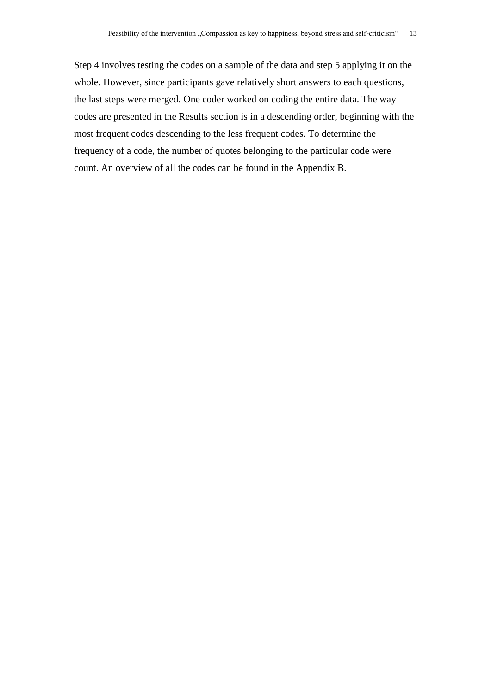Step 4 involves testing the codes on a sample of the data and step 5 applying it on the whole. However, since participants gave relatively short answers to each questions, the last steps were merged. One coder worked on coding the entire data. The way codes are presented in the Results section is in a descending order, beginning with the most frequent codes descending to the less frequent codes. To determine the frequency of a code, the number of quotes belonging to the particular code were count. An overview of all the codes can be found in the Appendix B.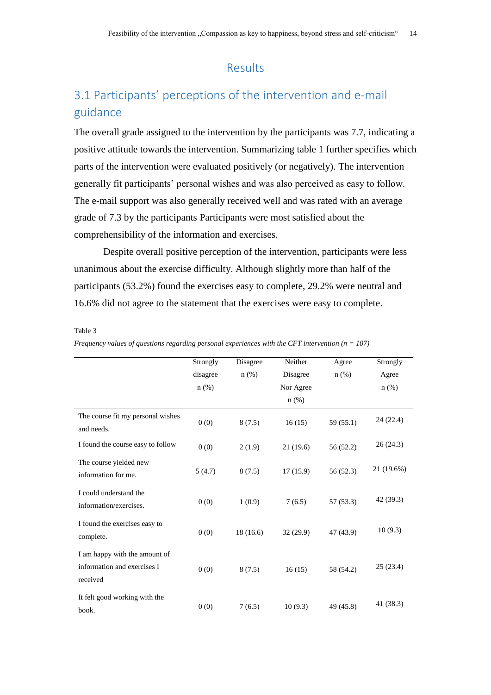# Results

# <span id="page-14-1"></span><span id="page-14-0"></span>3.1 Participants' perceptions of the intervention and e-mail guidance

The overall grade assigned to the intervention by the participants was 7.7, indicating a positive attitude towards the intervention. Summarizing table 1 further specifies which parts of the intervention were evaluated positively (or negatively). The intervention generally fit participants' personal wishes and was also perceived as easy to follow. The e-mail support was also generally received well and was rated with an average grade of 7.3 by the participants Participants were most satisfied about the comprehensibility of the information and exercises.

Despite overall positive perception of the intervention, participants were less unanimous about the exercise difficulty. Although slightly more than half of the participants (53.2%) found the exercises easy to complete, 29.2% were neutral and 16.6% did not agree to the statement that the exercises were easy to complete.

Table 3

|                                                                          | Strongly | Disagree | Neither   | Agree     | Strongly   |
|--------------------------------------------------------------------------|----------|----------|-----------|-----------|------------|
|                                                                          | disagree | $n$ (%)  | Disagree  | $n$ (%)   | Agree      |
|                                                                          | $n$ (%)  |          | Nor Agree |           | $n$ $(\%)$ |
|                                                                          |          |          | $n$ (%)   |           |            |
| The course fit my personal wishes<br>and needs.                          | 0(0)     | 8(7.5)   | 16(15)    | 59 (55.1) | 24 (22.4)  |
| I found the course easy to follow                                        | 0(0)     | 2(1.9)   | 21(19.6)  | 56 (52.2) | 26(24.3)   |
| The course yielded new<br>information for me.                            | 5(4.7)   | 8(7.5)   | 17(15.9)  | 56 (52.3) | 21 (19.6%) |
| I could understand the<br>information/exercises.                         | 0(0)     | 1(0.9)   | 7(6.5)    | 57(53.3)  | 42 (39.3)  |
| I found the exercises easy to<br>complete.                               | 0(0)     | 18(16.6) | 32(29.9)  | 47 (43.9) | 10(9.3)    |
| I am happy with the amount of<br>information and exercises I<br>received | 0(0)     | 8(7.5)   | 16(15)    | 58 (54.2) | 25(23.4)   |
| It felt good working with the<br>book.                                   | 0(0)     | 7(6.5)   | 10(9.3)   | 49 (45.8) | 41 (38.3)  |

*Frequency values of questions regarding personal experiences with the CFT intervention (n = 107)*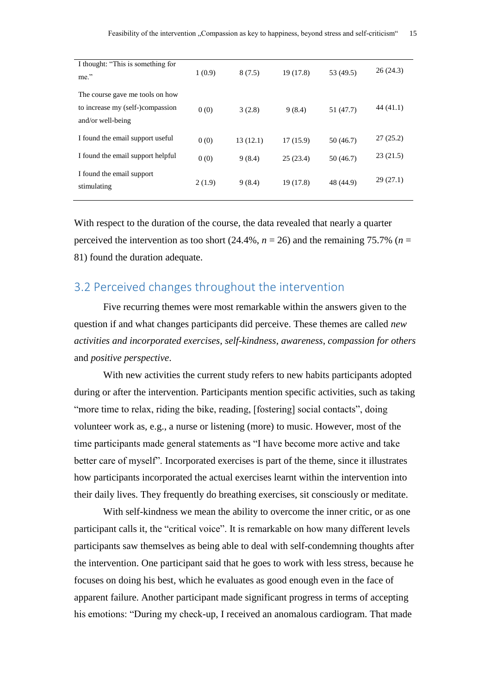| I thought: "This is something for<br>me."                                                | 1(0.9) | 8(7.5)   | 19 (17.8) | 53 (49.5) | 26(24.3)  |
|------------------------------------------------------------------------------------------|--------|----------|-----------|-----------|-----------|
| The course gave me tools on how<br>to increase my (self-)compassion<br>and/or well-being | 0(0)   | 3(2.8)   | 9(8.4)    | 51 (47.7) | 44 (41.1) |
| I found the email support useful                                                         | 0(0)   | 13(12.1) | 17(15.9)  | 50 (46.7) | 27(25.2)  |
| I found the email support helpful                                                        | 0(0)   | 9(8.4)   | 25(23.4)  | 50 (46.7) | 23(21.5)  |
| I found the email support<br>stimulating                                                 | 2(1.9) | 9(8.4)   | 19(17.8)  | 48 (44.9) | 29(27.1)  |

With respect to the duration of the course, the data revealed that nearly a quarter perceived the intervention as too short  $(24.4\%, n = 26)$  and the remaining 75.7% (*n* = 81) found the duration adequate.

# <span id="page-15-0"></span>3.2 Perceived changes throughout the intervention

Five recurring themes were most remarkable within the answers given to the question if and what changes participants did perceive. These themes are called *new activities and incorporated exercises*, *self-kindness*, *awareness*, *compassion for others* and *positive perspective*.

With new activities the current study refers to new habits participants adopted during or after the intervention. Participants mention specific activities, such as taking "more time to relax, riding the bike, reading, [fostering] social contacts", doing volunteer work as, e.g., a nurse or listening (more) to music. However, most of the time participants made general statements as "I have become more active and take better care of myself". Incorporated exercises is part of the theme, since it illustrates how participants incorporated the actual exercises learnt within the intervention into their daily lives. They frequently do breathing exercises, sit consciously or meditate.

With self-kindness we mean the ability to overcome the inner critic, or as one participant calls it, the "critical voice". It is remarkable on how many different levels participants saw themselves as being able to deal with self-condemning thoughts after the intervention. One participant said that he goes to work with less stress, because he focuses on doing his best, which he evaluates as good enough even in the face of apparent failure. Another participant made significant progress in terms of accepting his emotions: "During my check-up, I received an anomalous cardiogram. That made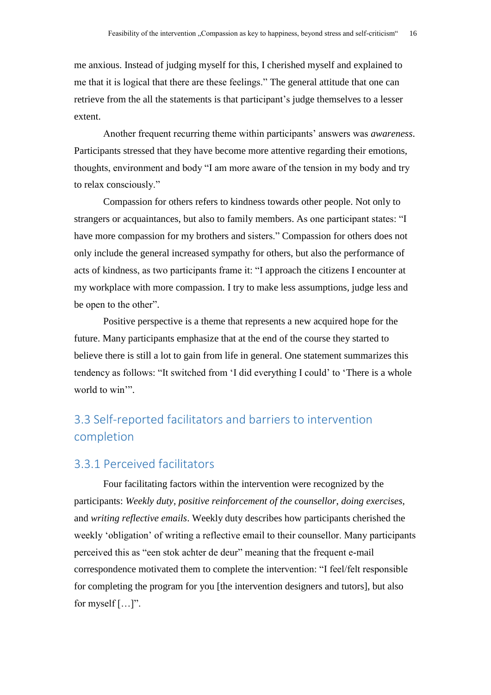me anxious. Instead of judging myself for this, I cherished myself and explained to me that it is logical that there are these feelings." The general attitude that one can retrieve from the all the statements is that participant's judge themselves to a lesser extent.

Another frequent recurring theme within participants' answers was *awareness*. Participants stressed that they have become more attentive regarding their emotions, thoughts, environment and body "I am more aware of the tension in my body and try to relax consciously."

Compassion for others refers to kindness towards other people. Not only to strangers or acquaintances, but also to family members. As one participant states: "I have more compassion for my brothers and sisters." Compassion for others does not only include the general increased sympathy for others, but also the performance of acts of kindness, as two participants frame it: "I approach the citizens I encounter at my workplace with more compassion. I try to make less assumptions, judge less and be open to the other".

Positive perspective is a theme that represents a new acquired hope for the future. Many participants emphasize that at the end of the course they started to believe there is still a lot to gain from life in general. One statement summarizes this tendency as follows: "It switched from 'I did everything I could' to 'There is a whole world to win'".

# <span id="page-16-0"></span>3.3 Self-reported facilitators and barriers to intervention completion

# <span id="page-16-1"></span>3.3.1 Perceived facilitators

Four facilitating factors within the intervention were recognized by the participants: *Weekly duty*, *positive reinforcement of the counsellor*, *doing exercises*, and *writing reflective emails*. Weekly duty describes how participants cherished the weekly 'obligation' of writing a reflective email to their counsellor. Many participants perceived this as "een stok achter de deur" meaning that the frequent e-mail correspondence motivated them to complete the intervention: "I feel/felt responsible for completing the program for you [the intervention designers and tutors], but also for myself […]".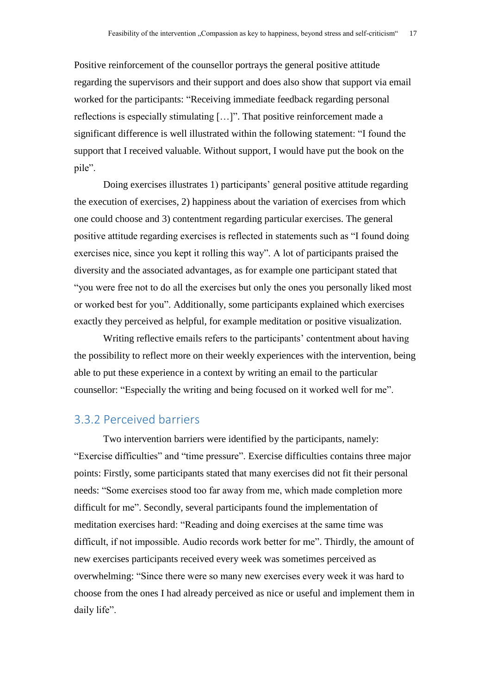Positive reinforcement of the counsellor portrays the general positive attitude regarding the supervisors and their support and does also show that support via email worked for the participants: "Receiving immediate feedback regarding personal reflections is especially stimulating […]". That positive reinforcement made a significant difference is well illustrated within the following statement: "I found the support that I received valuable. Without support, I would have put the book on the pile".

Doing exercises illustrates 1) participants' general positive attitude regarding the execution of exercises, 2) happiness about the variation of exercises from which one could choose and 3) contentment regarding particular exercises. The general positive attitude regarding exercises is reflected in statements such as "I found doing exercises nice, since you kept it rolling this way". A lot of participants praised the diversity and the associated advantages, as for example one participant stated that "you were free not to do all the exercises but only the ones you personally liked most or worked best for you". Additionally, some participants explained which exercises exactly they perceived as helpful, for example meditation or positive visualization.

Writing reflective emails refers to the participants' contentment about having the possibility to reflect more on their weekly experiences with the intervention, being able to put these experience in a context by writing an email to the particular counsellor: "Especially the writing and being focused on it worked well for me".

# <span id="page-17-0"></span>3.3.2 Perceived barriers

Two intervention barriers were identified by the participants, namely: "Exercise difficulties" and "time pressure". Exercise difficulties contains three major points: Firstly, some participants stated that many exercises did not fit their personal needs: "Some exercises stood too far away from me, which made completion more difficult for me". Secondly, several participants found the implementation of meditation exercises hard: "Reading and doing exercises at the same time was difficult, if not impossible. Audio records work better for me". Thirdly, the amount of new exercises participants received every week was sometimes perceived as overwhelming: "Since there were so many new exercises every week it was hard to choose from the ones I had already perceived as nice or useful and implement them in daily life".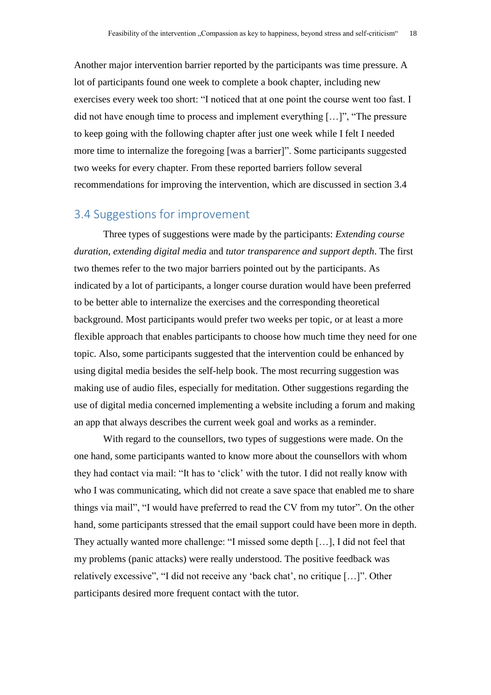Another major intervention barrier reported by the participants was time pressure. A lot of participants found one week to complete a book chapter, including new exercises every week too short: "I noticed that at one point the course went too fast. I did not have enough time to process and implement everything […]", "The pressure to keep going with the following chapter after just one week while I felt I needed more time to internalize the foregoing [was a barrier]". Some participants suggested two weeks for every chapter. From these reported barriers follow several recommendations for improving the intervention, which are discussed in section 3.4

# <span id="page-18-0"></span>3.4 Suggestions for improvement

Three types of suggestions were made by the participants: *Extending course duration*, *extending digital media* and *tutor transparence and support depth*. The first two themes refer to the two major barriers pointed out by the participants. As indicated by a lot of participants, a longer course duration would have been preferred to be better able to internalize the exercises and the corresponding theoretical background. Most participants would prefer two weeks per topic, or at least a more flexible approach that enables participants to choose how much time they need for one topic. Also, some participants suggested that the intervention could be enhanced by using digital media besides the self-help book. The most recurring suggestion was making use of audio files, especially for meditation. Other suggestions regarding the use of digital media concerned implementing a website including a forum and making an app that always describes the current week goal and works as a reminder.

With regard to the counsellors, two types of suggestions were made. On the one hand, some participants wanted to know more about the counsellors with whom they had contact via mail: "It has to 'click' with the tutor. I did not really know with who I was communicating, which did not create a save space that enabled me to share things via mail", "I would have preferred to read the CV from my tutor". On the other hand, some participants stressed that the email support could have been more in depth. They actually wanted more challenge: "I missed some depth […], I did not feel that my problems (panic attacks) were really understood. The positive feedback was relatively excessive", "I did not receive any 'back chat', no critique […]". Other participants desired more frequent contact with the tutor.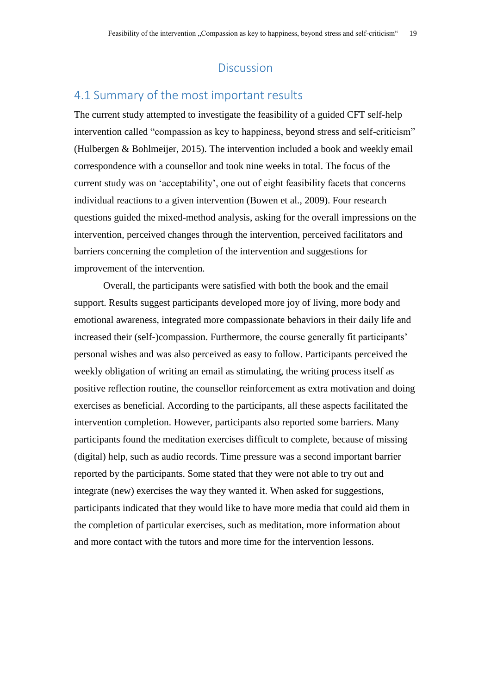# **Discussion**

# <span id="page-19-1"></span><span id="page-19-0"></span>4.1 Summary of the most important results

The current study attempted to investigate the feasibility of a guided CFT self-help intervention called "compassion as key to happiness, beyond stress and self-criticism" (Hulbergen & Bohlmeijer, 2015). The intervention included a book and weekly email correspondence with a counsellor and took nine weeks in total. The focus of the current study was on 'acceptability', one out of eight feasibility facets that concerns individual reactions to a given intervention (Bowen et al., 2009). Four research questions guided the mixed-method analysis, asking for the overall impressions on the intervention, perceived changes through the intervention, perceived facilitators and barriers concerning the completion of the intervention and suggestions for improvement of the intervention.

Overall, the participants were satisfied with both the book and the email support. Results suggest participants developed more joy of living, more body and emotional awareness, integrated more compassionate behaviors in their daily life and increased their (self-)compassion. Furthermore, the course generally fit participants' personal wishes and was also perceived as easy to follow. Participants perceived the weekly obligation of writing an email as stimulating, the writing process itself as positive reflection routine, the counsellor reinforcement as extra motivation and doing exercises as beneficial. According to the participants, all these aspects facilitated the intervention completion. However, participants also reported some barriers. Many participants found the meditation exercises difficult to complete, because of missing (digital) help, such as audio records. Time pressure was a second important barrier reported by the participants. Some stated that they were not able to try out and integrate (new) exercises the way they wanted it. When asked for suggestions, participants indicated that they would like to have more media that could aid them in the completion of particular exercises, such as meditation, more information about and more contact with the tutors and more time for the intervention lessons.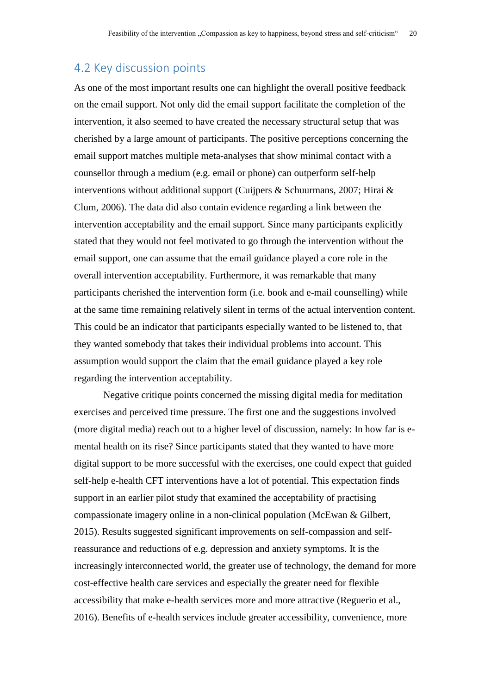# <span id="page-20-0"></span>4.2 Key discussion points

As one of the most important results one can highlight the overall positive feedback on the email support. Not only did the email support facilitate the completion of the intervention, it also seemed to have created the necessary structural setup that was cherished by a large amount of participants. The positive perceptions concerning the email support matches multiple meta-analyses that show minimal contact with a counsellor through a medium (e.g. email or phone) can outperform self-help interventions without additional support (Cuijpers & Schuurmans, 2007; Hirai & Clum, 2006). The data did also contain evidence regarding a link between the intervention acceptability and the email support. Since many participants explicitly stated that they would not feel motivated to go through the intervention without the email support, one can assume that the email guidance played a core role in the overall intervention acceptability. Furthermore, it was remarkable that many participants cherished the intervention form (i.e. book and e-mail counselling) while at the same time remaining relatively silent in terms of the actual intervention content. This could be an indicator that participants especially wanted to be listened to, that they wanted somebody that takes their individual problems into account. This assumption would support the claim that the email guidance played a key role regarding the intervention acceptability.

Negative critique points concerned the missing digital media for meditation exercises and perceived time pressure. The first one and the suggestions involved (more digital media) reach out to a higher level of discussion, namely: In how far is emental health on its rise? Since participants stated that they wanted to have more digital support to be more successful with the exercises, one could expect that guided self-help e-health CFT interventions have a lot of potential. This expectation finds support in an earlier pilot study that examined the acceptability of practising compassionate imagery online in a non-clinical population (McEwan & Gilbert, 2015). Results suggested significant improvements on self-compassion and selfreassurance and reductions of e.g. depression and anxiety symptoms. It is the increasingly interconnected world, the greater use of technology, the demand for more cost-effective health care services and especially the greater need for flexible accessibility that make e-health services more and more attractive (Reguerio et al., 2016). Benefits of e-health services include greater accessibility, convenience, more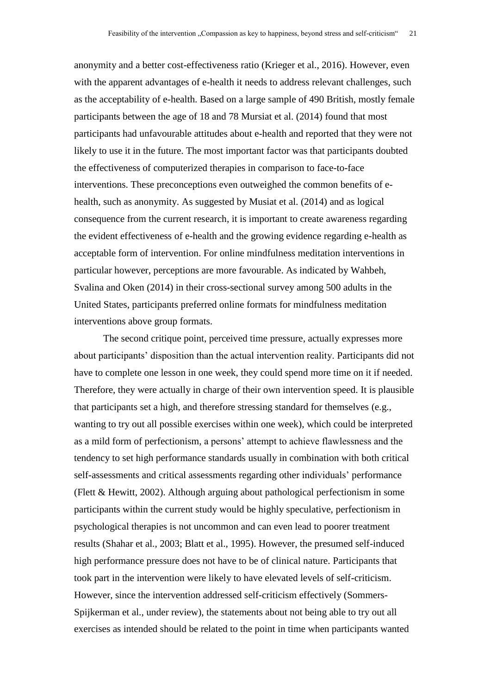anonymity and a better cost-effectiveness ratio (Krieger et al., 2016). However, even with the apparent advantages of e-health it needs to address relevant challenges, such as the acceptability of e-health. Based on a large sample of 490 British, mostly female participants between the age of 18 and 78 Mursiat et al. (2014) found that most participants had unfavourable attitudes about e-health and reported that they were not likely to use it in the future. The most important factor was that participants doubted the effectiveness of computerized therapies in comparison to face-to-face interventions. These preconceptions even outweighed the common benefits of ehealth, such as anonymity. As suggested by Musiat et al. (2014) and as logical consequence from the current research, it is important to create awareness regarding the evident effectiveness of e-health and the growing evidence regarding e-health as acceptable form of intervention. For online mindfulness meditation interventions in particular however, perceptions are more favourable. As indicated by Wahbeh, Svalina and Oken (2014) in their cross-sectional survey among 500 adults in the United States, participants preferred online formats for mindfulness meditation interventions above group formats.

The second critique point, perceived time pressure, actually expresses more about participants' disposition than the actual intervention reality. Participants did not have to complete one lesson in one week, they could spend more time on it if needed. Therefore, they were actually in charge of their own intervention speed. It is plausible that participants set a high, and therefore stressing standard for themselves (e.g., wanting to try out all possible exercises within one week), which could be interpreted as a mild form of perfectionism, a persons' attempt to achieve flawlessness and the tendency to set high performance standards usually in combination with both critical self-assessments and critical assessments regarding other individuals' performance (Flett & Hewitt, 2002). Although arguing about pathological perfectionism in some participants within the current study would be highly speculative, perfectionism in psychological therapies is not uncommon and can even lead to poorer treatment results (Shahar et al., 2003; Blatt et al., 1995). However, the presumed self-induced high performance pressure does not have to be of clinical nature. Participants that took part in the intervention were likely to have elevated levels of self-criticism. However, since the intervention addressed self-criticism effectively (Sommers-Spijkerman et al., under review), the statements about not being able to try out all exercises as intended should be related to the point in time when participants wanted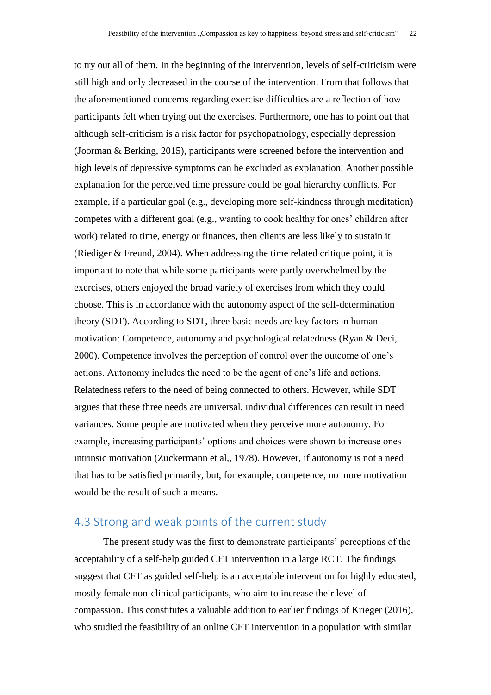to try out all of them. In the beginning of the intervention, levels of self-criticism were still high and only decreased in the course of the intervention. From that follows that the aforementioned concerns regarding exercise difficulties are a reflection of how participants felt when trying out the exercises. Furthermore, one has to point out that although self-criticism is a risk factor for psychopathology, especially depression (Joorman & Berking, 2015), participants were screened before the intervention and high levels of depressive symptoms can be excluded as explanation. Another possible explanation for the perceived time pressure could be goal hierarchy conflicts. For example, if a particular goal (e.g., developing more self-kindness through meditation) competes with a different goal (e.g., wanting to cook healthy for ones' children after work) related to time, energy or finances, then clients are less likely to sustain it (Riediger & Freund, 2004). When addressing the time related critique point, it is important to note that while some participants were partly overwhelmed by the exercises, others enjoyed the broad variety of exercises from which they could choose. This is in accordance with the autonomy aspect of the self-determination theory (SDT). According to SDT, three basic needs are key factors in human motivation: Competence, autonomy and psychological relatedness (Ryan & Deci, 2000). Competence involves the perception of control over the outcome of one's actions. Autonomy includes the need to be the agent of one's life and actions. Relatedness refers to the need of being connected to others. However, while SDT argues that these three needs are universal, individual differences can result in need variances. Some people are motivated when they perceive more autonomy. For example, increasing participants' options and choices were shown to increase ones intrinsic motivation (Zuckermann et al,, 1978). However, if autonomy is not a need that has to be satisfied primarily, but, for example, competence, no more motivation would be the result of such a means.

# <span id="page-22-0"></span>4.3 Strong and weak points of the current study

The present study was the first to demonstrate participants' perceptions of the acceptability of a self-help guided CFT intervention in a large RCT. The findings suggest that CFT as guided self-help is an acceptable intervention for highly educated, mostly female non-clinical participants, who aim to increase their level of compassion. This constitutes a valuable addition to earlier findings of Krieger (2016), who studied the feasibility of an online CFT intervention in a population with similar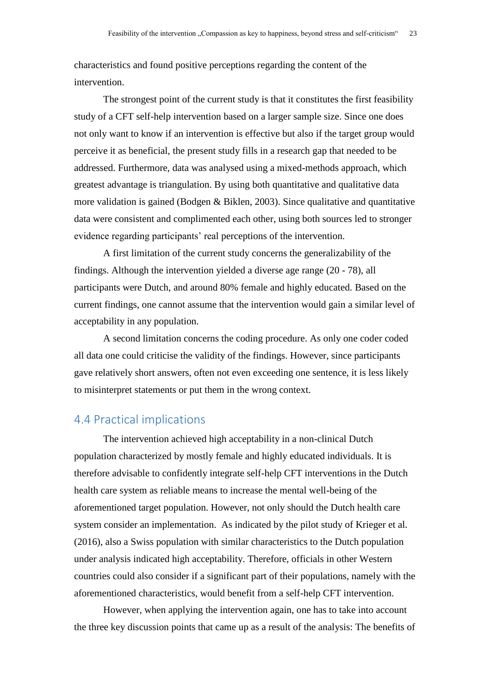characteristics and found positive perceptions regarding the content of the intervention.

The strongest point of the current study is that it constitutes the first feasibility study of a CFT self-help intervention based on a larger sample size. Since one does not only want to know if an intervention is effective but also if the target group would perceive it as beneficial, the present study fills in a research gap that needed to be addressed. Furthermore, data was analysed using a mixed-methods approach, which greatest advantage is triangulation. By using both quantitative and qualitative data more validation is gained (Bodgen & Biklen, 2003). Since qualitative and quantitative data were consistent and complimented each other, using both sources led to stronger evidence regarding participants' real perceptions of the intervention.

A first limitation of the current study concerns the generalizability of the findings. Although the intervention yielded a diverse age range (20 - 78), all participants were Dutch, and around 80% female and highly educated. Based on the current findings, one cannot assume that the intervention would gain a similar level of acceptability in any population.

A second limitation concerns the coding procedure. As only one coder coded all data one could criticise the validity of the findings. However, since participants gave relatively short answers, often not even exceeding one sentence, it is less likely to misinterpret statements or put them in the wrong context.

# <span id="page-23-0"></span>4.4 Practical implications

The intervention achieved high acceptability in a non-clinical Dutch population characterized by mostly female and highly educated individuals. It is therefore advisable to confidently integrate self-help CFT interventions in the Dutch health care system as reliable means to increase the mental well-being of the aforementioned target population. However, not only should the Dutch health care system consider an implementation. As indicated by the pilot study of Krieger et al. (2016), also a Swiss population with similar characteristics to the Dutch population under analysis indicated high acceptability. Therefore, officials in other Western countries could also consider if a significant part of their populations, namely with the aforementioned characteristics, would benefit from a self-help CFT intervention.

However, when applying the intervention again, one has to take into account the three key discussion points that came up as a result of the analysis: The benefits of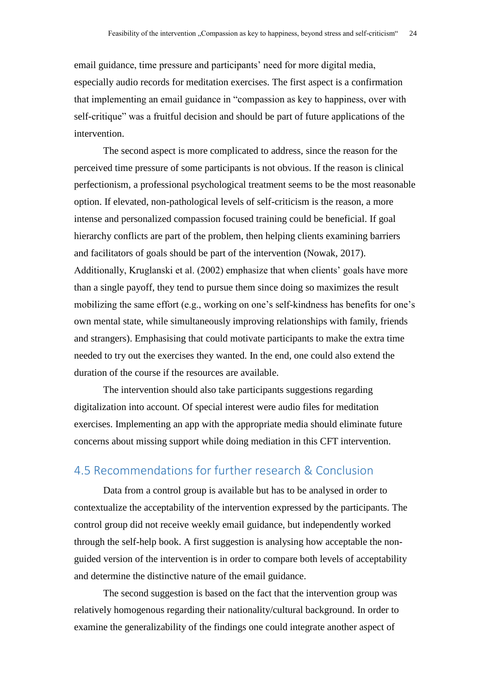email guidance, time pressure and participants' need for more digital media, especially audio records for meditation exercises. The first aspect is a confirmation that implementing an email guidance in "compassion as key to happiness, over with self-critique" was a fruitful decision and should be part of future applications of the intervention.

The second aspect is more complicated to address, since the reason for the perceived time pressure of some participants is not obvious. If the reason is clinical perfectionism, a professional psychological treatment seems to be the most reasonable option. If elevated, non-pathological levels of self-criticism is the reason, a more intense and personalized compassion focused training could be beneficial. If goal hierarchy conflicts are part of the problem, then helping clients examining barriers and facilitators of goals should be part of the intervention (Nowak, 2017). Additionally, Kruglanski et al. (2002) emphasize that when clients' goals have more than a single payoff, they tend to pursue them since doing so maximizes the result mobilizing the same effort (e.g., working on one's self-kindness has benefits for one's own mental state, while simultaneously improving relationships with family, friends and strangers). Emphasising that could motivate participants to make the extra time needed to try out the exercises they wanted. In the end, one could also extend the duration of the course if the resources are available.

The intervention should also take participants suggestions regarding digitalization into account. Of special interest were audio files for meditation exercises. Implementing an app with the appropriate media should eliminate future concerns about missing support while doing mediation in this CFT intervention.

# <span id="page-24-0"></span>4.5 Recommendations for further research & Conclusion

Data from a control group is available but has to be analysed in order to contextualize the acceptability of the intervention expressed by the participants. The control group did not receive weekly email guidance, but independently worked through the self-help book. A first suggestion is analysing how acceptable the nonguided version of the intervention is in order to compare both levels of acceptability and determine the distinctive nature of the email guidance.

The second suggestion is based on the fact that the intervention group was relatively homogenous regarding their nationality/cultural background. In order to examine the generalizability of the findings one could integrate another aspect of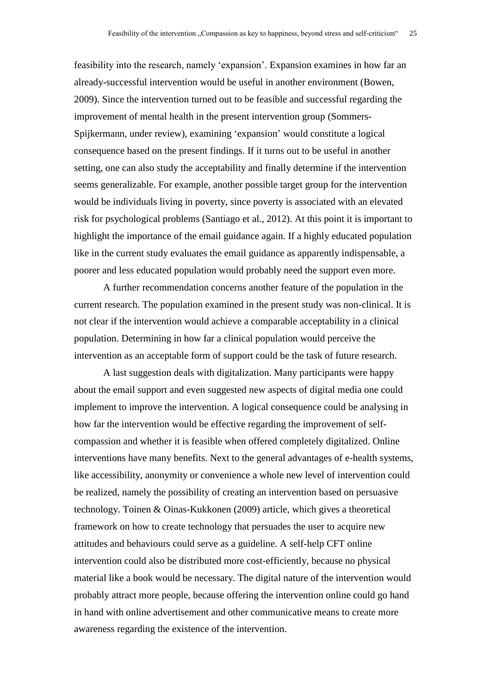feasibility into the research, namely 'expansion'. Expansion examines in how far an already-successful intervention would be useful in another environment (Bowen, 2009). Since the intervention turned out to be feasible and successful regarding the improvement of mental health in the present intervention group (Sommers-Spijkermann, under review), examining 'expansion' would constitute a logical consequence based on the present findings. If it turns out to be useful in another setting, one can also study the acceptability and finally determine if the intervention seems generalizable. For example, another possible target group for the intervention would be individuals living in poverty, since poverty is associated with an elevated risk for psychological problems (Santiago et al., 2012). At this point it is important to highlight the importance of the email guidance again. If a highly educated population like in the current study evaluates the email guidance as apparently indispensable, a poorer and less educated population would probably need the support even more.

A further recommendation concerns another feature of the population in the current research. The population examined in the present study was non-clinical. It is not clear if the intervention would achieve a comparable acceptability in a clinical population. Determining in how far a clinical population would perceive the intervention as an acceptable form of support could be the task of future research.

A last suggestion deals with digitalization. Many participants were happy about the email support and even suggested new aspects of digital media one could implement to improve the intervention. A logical consequence could be analysing in how far the intervention would be effective regarding the improvement of selfcompassion and whether it is feasible when offered completely digitalized. Online interventions have many benefits. Next to the general advantages of e-health systems, like accessibility, anonymity or convenience a whole new level of intervention could be realized, namely the possibility of creating an intervention based on persuasive technology. Toinen & Oinas-Kukkonen (2009) article, which gives a theoretical framework on how to create technology that persuades the user to acquire new attitudes and behaviours could serve as a guideline. A self-help CFT online intervention could also be distributed more cost-efficiently, because no physical material like a book would be necessary. The digital nature of the intervention would probably attract more people, because offering the intervention online could go hand in hand with online advertisement and other communicative means to create more awareness regarding the existence of the intervention.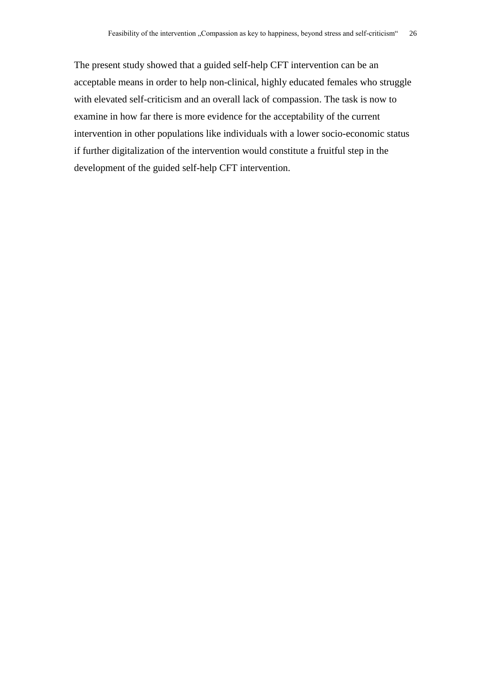The present study showed that a guided self-help CFT intervention can be an acceptable means in order to help non-clinical, highly educated females who struggle with elevated self-criticism and an overall lack of compassion. The task is now to examine in how far there is more evidence for the acceptability of the current intervention in other populations like individuals with a lower socio-economic status if further digitalization of the intervention would constitute a fruitful step in the development of the guided self-help CFT intervention.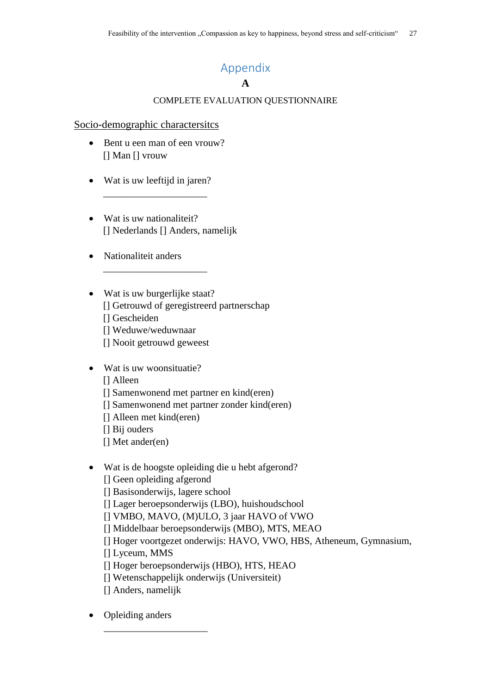# Appendix

## **A**

## COMPLETE EVALUATION QUESTIONNAIRE

## <span id="page-27-0"></span>Socio-demographic charactersitcs

- Bent u een man of een vrouw? [] Man [] vrouw
- Wat is uw leeftijd in jaren?

\_\_\_\_\_\_\_\_\_\_\_\_\_\_\_\_\_\_\_\_\_

\_\_\_\_\_\_\_\_\_\_\_\_\_\_\_\_\_\_\_\_\_

- Wat is uw nationaliteit? [] Nederlands [] Anders, namelijk
- Nationaliteit anders
- Wat is uw burgerlijke staat? [] Getrouwd of geregistreerd partnerschap [] Gescheiden [] Weduwe/weduwnaar [] Nooit getrouwd geweest
- Wat is uw woonsituatie?
	- [] Alleen
	- [] Samenwonend met partner en kind(eren)
	- [] Samenwonend met partner zonder kind(eren)
	- [] Alleen met kind(eren)
	- [] Bij ouders
	- [] Met ander(en)
- Wat is de hoogste opleiding die u hebt afgerond?
	- [] Geen opleiding afgerond
	- [] Basisonderwijs, lagere school
	- [] Lager beroepsonderwijs (LBO), huishoudschool
	- [] VMBO, MAVO, (M)ULO, 3 jaar HAVO of VWO
	- [] Middelbaar beroepsonderwijs (MBO), MTS, MEAO
	- [] Hoger voortgezet onderwijs: HAVO, VWO, HBS, Atheneum, Gymnasium,
	- [] Lyceum, MMS
	- [] Hoger beroepsonderwijs (HBO), HTS, HEAO
	- [] Wetenschappelijk onderwijs (Universiteit)
	- [] Anders, namelijk

\_\_\_\_\_\_\_\_\_\_\_\_\_\_\_\_\_\_\_\_\_

Opleiding anders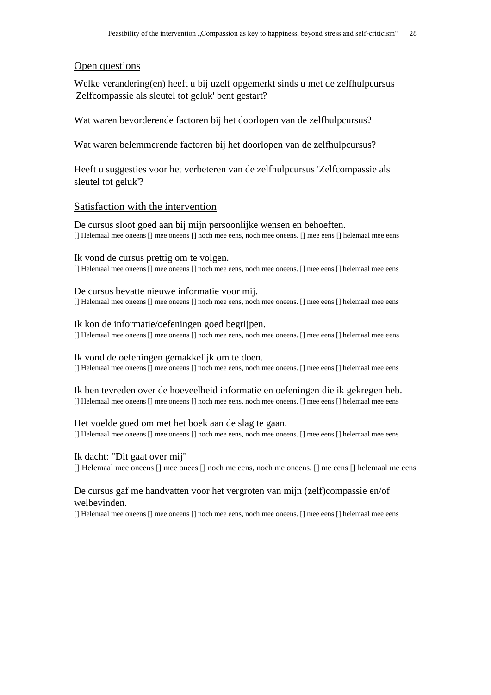## Open questions

Welke verandering(en) heeft u bij uzelf opgemerkt sinds u met de zelfhulpcursus 'Zelfcompassie als sleutel tot geluk' bent gestart?

Wat waren bevorderende factoren bij het doorlopen van de zelfhulpcursus?

Wat waren belemmerende factoren bij het doorlopen van de zelfhulpcursus?

Heeft u suggesties voor het verbeteren van de zelfhulpcursus 'Zelfcompassie als sleutel tot geluk'?

## Satisfaction with the intervention

De cursus sloot goed aan bij mijn persoonlijke wensen en behoeften. [] Helemaal mee oneens [] mee oneens [] noch mee eens, noch mee oneens. [] mee eens [] helemaal mee eens

Ik vond de cursus prettig om te volgen. [] Helemaal mee oneens [] mee oneens [] noch mee eens, noch mee oneens. [] mee eens [] helemaal mee eens

De cursus bevatte nieuwe informatie voor mij. [] Helemaal mee oneens [] mee oneens [] noch mee eens, noch mee oneens. [] mee eens [] helemaal mee eens

Ik kon de informatie/oefeningen goed begrijpen. [] Helemaal mee oneens [] mee oneens [] noch mee eens, noch mee oneens. [] mee eens [] helemaal mee eens

## Ik vond de oefeningen gemakkelijk om te doen.

[] Helemaal mee oneens [] mee oneens [] noch mee eens, noch mee oneens. [] mee eens [] helemaal mee eens

Ik ben tevreden over de hoeveelheid informatie en oefeningen die ik gekregen heb. [] Helemaal mee oneens [] mee oneens [] noch mee eens, noch mee oneens. [] mee eens [] helemaal mee eens

Het voelde goed om met het boek aan de slag te gaan. [] Helemaal mee oneens [] mee oneens [] noch mee eens, noch mee oneens. [] mee eens [] helemaal mee eens

Ik dacht: "Dit gaat over mij" [] Helemaal mee oneens [] mee onees [] noch me eens, noch me oneens. [] me eens [] helemaal me eens

## De cursus gaf me handvatten voor het vergroten van mijn (zelf)compassie en/of welbevinden.

[] Helemaal mee oneens [] mee oneens [] noch mee eens, noch mee oneens. [] mee eens [] helemaal mee eens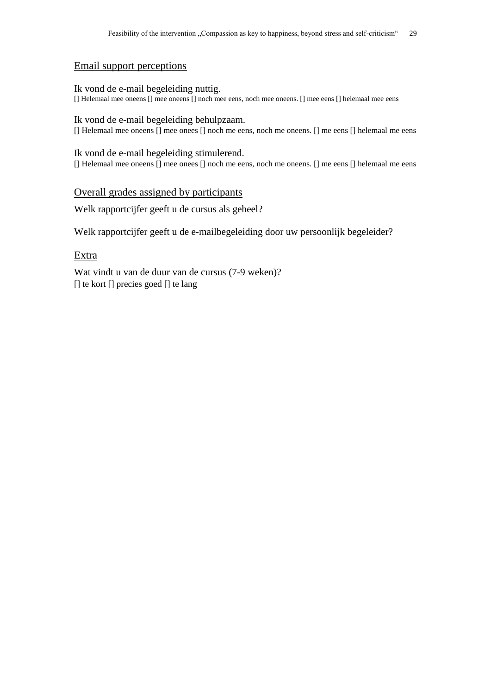## Email support perceptions

Ik vond de e-mail begeleiding nuttig. [] Helemaal mee oneens [] mee oneens [] noch mee eens, noch mee oneens. [] mee eens [] helemaal mee eens

#### Ik vond de e-mail begeleiding behulpzaam.

[] Helemaal mee oneens [] mee onees [] noch me eens, noch me oneens. [] me eens [] helemaal me eens

Ik vond de e-mail begeleiding stimulerend. [] Helemaal mee oneens [] mee onees [] noch me eens, noch me oneens. [] me eens [] helemaal me eens

## Overall grades assigned by participants

Welk rapportcijfer geeft u de cursus als geheel?

Welk rapportcijfer geeft u de e-mailbegeleiding door uw persoonlijk begeleider?

## Extra

Wat vindt u van de duur van de cursus (7-9 weken)? [] te kort [] precies goed [] te lang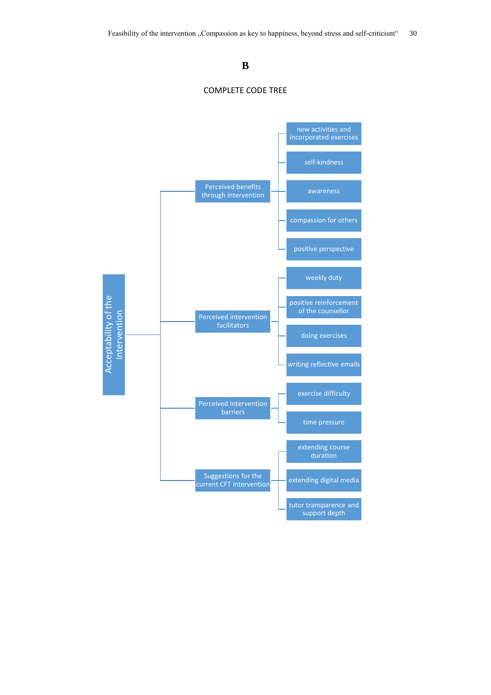## **B**



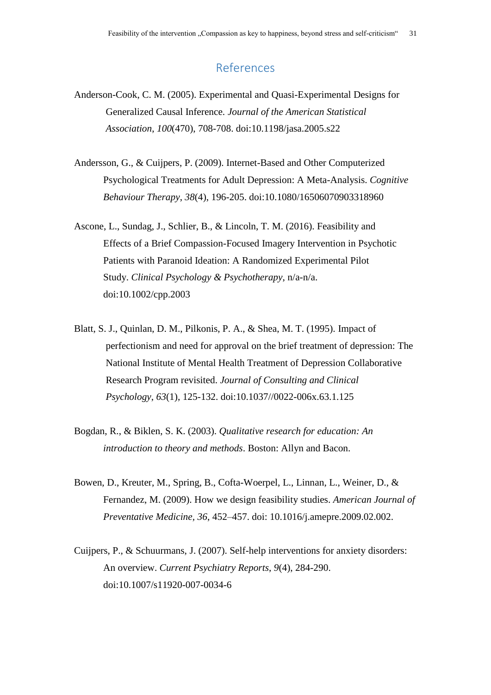# References

- <span id="page-31-0"></span>Anderson-Cook, C. M. (2005). Experimental and Quasi-Experimental Designs for Generalized Causal Inference. *Journal of the American Statistical Association*, *100*(470), 708-708. doi:10.1198/jasa.2005.s22
- Andersson, G., & Cuijpers, P. (2009). Internet-Based and Other Computerized Psychological Treatments for Adult Depression: A Meta-Analysis. *Cognitive Behaviour Therapy*, *38*(4), 196-205. doi:10.1080/16506070903318960
- Ascone, L., Sundag, J., Schlier, B., & Lincoln, T. M. (2016). Feasibility and Effects of a Brief Compassion-Focused Imagery Intervention in Psychotic Patients with Paranoid Ideation: A Randomized Experimental Pilot Study. *Clinical Psychology & Psychotherapy*, n/a-n/a. doi:10.1002/cpp.2003
- Blatt, S. J., Quinlan, D. M., Pilkonis, P. A., & Shea, M. T. (1995). Impact of perfectionism and need for approval on the brief treatment of depression: The National Institute of Mental Health Treatment of Depression Collaborative Research Program revisited. *Journal of Consulting and Clinical Psychology*, *63*(1), 125-132. doi:10.1037//0022-006x.63.1.125
- Bogdan, R., & Biklen, S. K. (2003). *Qualitative research for education: An introduction to theory and methods*. Boston: Allyn and Bacon.
- Bowen, D., Kreuter, M., Spring, B., Cofta-Woerpel, L., Linnan, L., Weiner, D., & Fernandez, M. (2009). How we design feasibility studies. *American Journal of Preventative Medicine, 36*, 452–457. doi: 10.1016/j.amepre.2009.02.002.
- Cuijpers, P., & Schuurmans, J. (2007). Self-help interventions for anxiety disorders: An overview. *Current Psychiatry Reports*, *9*(4), 284-290. doi:10.1007/s11920-007-0034-6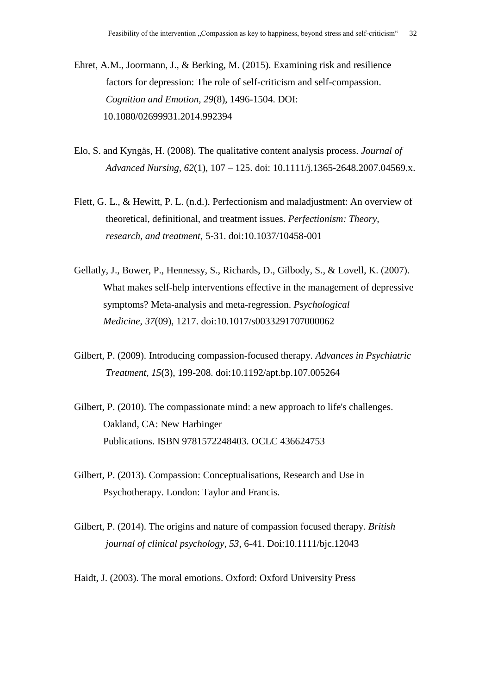Ehret, A.M., Joormann, J., & Berking, M. (2015). Examining risk and resilience factors for depression: The role of self-criticism and self-compassion. *Cognition and Emotion, 29*(8), 1496-1504. DOI: 10.1080/02699931.2014.992394

- Elo, S. and Kyngäs, H. (2008). The qualitative content analysis process. *Journal of Advanced Nursing, 62*(1), 107 – 125. doi: 10.1111/j.1365-2648.2007.04569.x.
- Flett, G. L., & Hewitt, P. L. (n.d.). Perfectionism and maladjustment: An overview of theoretical, definitional, and treatment issues. *Perfectionism: Theory, research, and treatment*, 5-31. doi:10.1037/10458-001
- Gellatly, J., Bower, P., Hennessy, S., Richards, D., Gilbody, S., & Lovell, K. (2007). What makes self-help interventions effective in the management of depressive symptoms? Meta-analysis and meta-regression. *Psychological Medicine*, *37*(09), 1217. doi:10.1017/s0033291707000062
- Gilbert, P. (2009). Introducing compassion-focused therapy. *Advances in Psychiatric Treatment, 15*(3), 199-208. doi:10.1192/apt.bp.107.005264
- [Gilbert,](https://en.wikipedia.org/wiki/Paul_Gilbert_(psychologist)) P. (2010). [The compassionate mind: a new approach to life's challenges.](https://books.google.com/books?id=krNPL6xCVL0C) Oakland, CA: New [Harbinger](https://en.wikipedia.org/wiki/New_Harbinger_Publications) [Publications.](https://en.wikipedia.org/wiki/New_Harbinger_Publications) [ISBN](https://en.wikipedia.org/wiki/International_Standard_Book_Number) [9781572248403.](https://en.wikipedia.org/wiki/Special:BookSources/9781572248403) [OCLC](https://en.wikipedia.org/wiki/OCLC) [436624753](https://www.worldcat.org/oclc/436624753)
- Gilbert, P. (2013). Compassion: Conceptualisations, Research and Use in Psychotherapy. London: Taylor and Francis.
- Gilbert, P. (2014). The origins and nature of compassion focused therapy. *British journal of clinical psychology, 53*, 6-41. Doi:10.1111/bjc.12043
- Haidt, J. (2003). The moral emotions. Oxford: Oxford University Press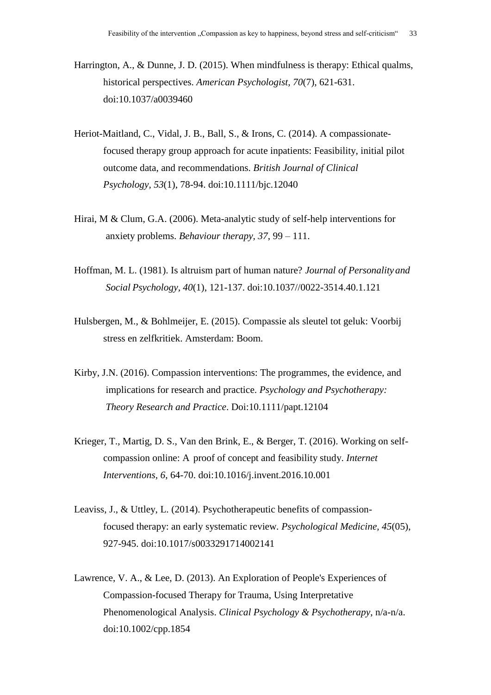- Harrington, A., & Dunne, J. D. (2015). When mindfulness is therapy: Ethical qualms, historical perspectives. *American Psychologist, 70*(7), 621-631. doi:10.1037/a0039460
- Heriot-Maitland, C., Vidal, J. B., Ball, S., & Irons, C. (2014). A compassionatefocused therapy group approach for acute inpatients: Feasibility, initial pilot outcome data, and recommendations. *British Journal of Clinical Psychology, 53*(1), 78-94. doi:10.1111/bjc.12040
- Hirai, M & Clum, G.A. (2006). Meta-analytic study of self-help interventions for anxiety problems. *Behaviour therapy, 37*, 99 – 111.
- Hoffman, M. L. (1981). Is altruism part of human nature? *Journal of Personalityand Social Psychology, 40*(1), 121-137. doi:10.1037//0022-3514.40.1.121
- Hulsbergen, M., & Bohlmeijer, E. (2015). Compassie als sleutel tot geluk: Voorbij stress en zelfkritiek. Amsterdam: Boom.
- Kirby, J.N. (2016). Compassion interventions: The programmes, the evidence, and implications for research and practice. *Psychology and Psychotherapy: Theory Research and Practice*. Doi:10.1111/papt.12104
- Krieger, T., Martig, D. S., Van den Brink, E., & Berger, T. (2016). Working on selfcompassion online: A proof of concept and feasibility study. *Internet Interventions, 6*, 64-70. doi:10.1016/j.invent.2016.10.001
- Leaviss, J., & Uttley, L. (2014). Psychotherapeutic benefits of compassionfocused therapy: an early systematic review*. Psychological Medicine, 45*(05), 927-945. doi:10.1017/s0033291714002141
- Lawrence, V. A., & Lee, D. (2013). An Exploration of People's Experiences of Compassion-focused Therapy for Trauma, Using Interpretative Phenomenological Analysis. *Clinical Psychology & Psychotherapy*, n/a-n/a. doi:10.1002/cpp.1854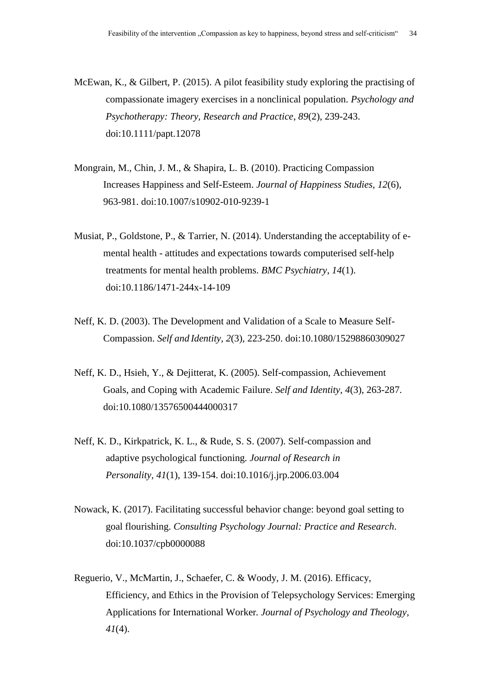McEwan, K., & Gilbert, P. (2015). A pilot feasibility study exploring the practising of compassionate imagery exercises in a nonclinical population. *Psychology and Psychotherapy: Theory, Research and Practice*, *89*(2), 239-243. doi:10.1111/papt.12078

- Mongrain, M., Chin, J. M., & Shapira, L. B. (2010). Practicing Compassion Increases Happiness and Self-Esteem. *Journal of Happiness Studies, 12*(6), 963-981. doi:10.1007/s10902-010-9239-1
- Musiat, P., Goldstone, P., & Tarrier, N. (2014). Understanding the acceptability of emental health - attitudes and expectations towards computerised self-help treatments for mental health problems. *BMC Psychiatry*, *14*(1). doi:10.1186/1471-244x-14-109
- Neff, K. D. (2003). The Development and Validation of a Scale to Measure Self-Compassion. *Self and Identity, 2*(3), 223-250. doi:10.1080/15298860309027
- Neff, K. D., Hsieh, Y., & Dejitterat, K. (2005). Self-compassion, Achievement Goals, and Coping with Academic Failure. *Self and Identity, 4*(3), 263-287. doi:10.1080/13576500444000317
- Neff, K. D., Kirkpatrick, K. L., & Rude, S. S. (2007). Self-compassion and adaptive psychological functioning*. Journal of Research in Personality, 41*(1), 139-154. doi:10.1016/j.jrp.2006.03.004
- Nowack, K. (2017). Facilitating successful behavior change: beyond goal setting to goal flourishing. *Consulting Psychology Journal: Practice and Research*. doi:10.1037/cpb0000088
- Reguerio, V., McMartin, J., Schaefer, C. & Woody, J. M. (2016). Efficacy, Efficiency, and Ethics in the Provision of Telepsychology Services: Emerging Applications for International Worker*. Journal of Psychology and Theology, 41*(4).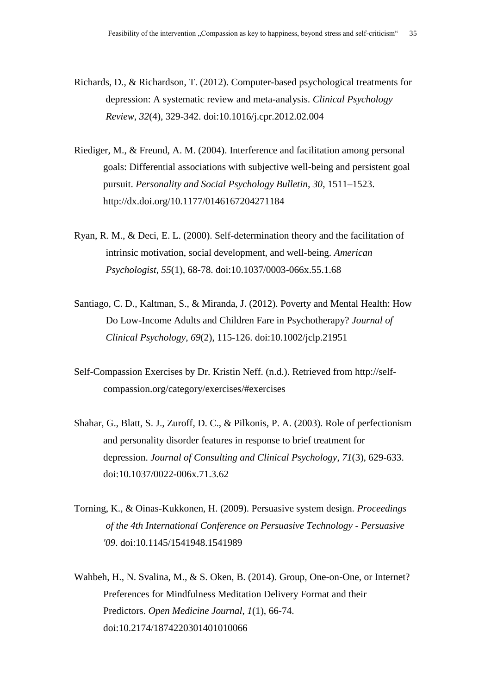Richards, D., & Richardson, T. (2012). Computer-based psychological treatments for depression: A systematic review and meta-analysis. *Clinical Psychology Review*, *32*(4), 329-342. doi:10.1016/j.cpr.2012.02.004

- Riediger, M., & Freund, A. M. (2004). Interference and facilitation among personal goals: Differential associations with subjective well-being and persistent goal pursuit. *Personality and Social Psychology Bulletin, 30*, 1511–1523. http://dx.doi.org/10.1177/0146167204271184
- Ryan, R. M., & Deci, E. L. (2000). Self-determination theory and the facilitation of intrinsic motivation, social development, and well-being. *American Psychologist*, *55*(1), 68-78. doi:10.1037/0003-066x.55.1.68
- Santiago, C. D., Kaltman, S., & Miranda, J. (2012). Poverty and Mental Health: How Do Low-Income Adults and Children Fare in Psychotherapy? *Journal of Clinical Psychology*, *69*(2), 115-126. doi:10.1002/jclp.21951
- Self-Compassion Exercises by Dr. Kristin Neff. (n.d.). Retrieved from http://selfcompassion.org/category/exercises/#exercises
- Shahar, G., Blatt, S. J., Zuroff, D. C., & Pilkonis, P. A. (2003). Role of perfectionism and personality disorder features in response to brief treatment for depression. *Journal of Consulting and Clinical Psychology*, *71*(3), 629-633. doi:10.1037/0022-006x.71.3.62
- Torning, K., & Oinas-Kukkonen, H. (2009). Persuasive system design. *Proceedings of the 4th International Conference on Persuasive Technology - Persuasive '09*. doi:10.1145/1541948.1541989
- Wahbeh, H., N. Svalina, M., & S. Oken, B. (2014). Group, One-on-One, or Internet? Preferences for Mindfulness Meditation Delivery Format and their Predictors. *Open Medicine Journal*, *1*(1), 66-74. doi:10.2174/1874220301401010066